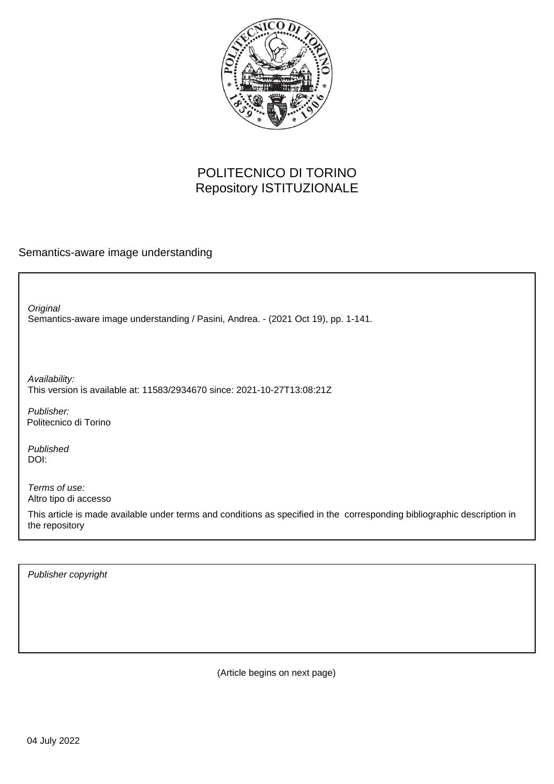

## POLITECNICO DI TORINO Repository ISTITUZIONALE

Semantics-aware image understanding

Semantics-aware image understanding / Pasini, Andrea. - (2021 Oct 19), pp. 1-141. **Original** 

Availability: This version is available at: 11583/2934670 since: 2021-10-27T13:08:21Z

Publisher: Politecnico di Torino

Published DOI:

Terms of use: Altro tipo di accesso

This article is made available under terms and conditions as specified in the corresponding bibliographic description in the repository

Publisher copyright

(Article begins on next page)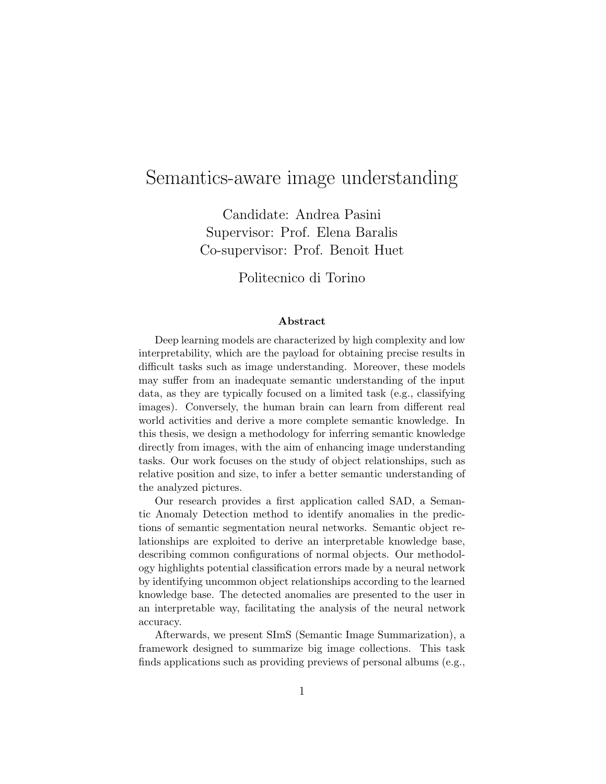## Semantics-aware image understanding

Candidate: Andrea Pasini Supervisor: Prof. Elena Baralis Co-supervisor: Prof. Benoit Huet

Politecnico di Torino

## Abstract

Deep learning models are characterized by high complexity and low interpretability, which are the payload for obtaining precise results in difficult tasks such as image understanding. Moreover, these models may suffer from an inadequate semantic understanding of the input data, as they are typically focused on a limited task (e.g., classifying images). Conversely, the human brain can learn from different real world activities and derive a more complete semantic knowledge. In this thesis, we design a methodology for inferring semantic knowledge directly from images, with the aim of enhancing image understanding tasks. Our work focuses on the study of object relationships, such as relative position and size, to infer a better semantic understanding of the analyzed pictures.

Our research provides a first application called SAD, a Semantic Anomaly Detection method to identify anomalies in the predictions of semantic segmentation neural networks. Semantic object relationships are exploited to derive an interpretable knowledge base, describing common configurations of normal objects. Our methodology highlights potential classification errors made by a neural network by identifying uncommon object relationships according to the learned knowledge base. The detected anomalies are presented to the user in an interpretable way, facilitating the analysis of the neural network accuracy.

Afterwards, we present SImS (Semantic Image Summarization), a framework designed to summarize big image collections. This task finds applications such as providing previews of personal albums (e.g.,